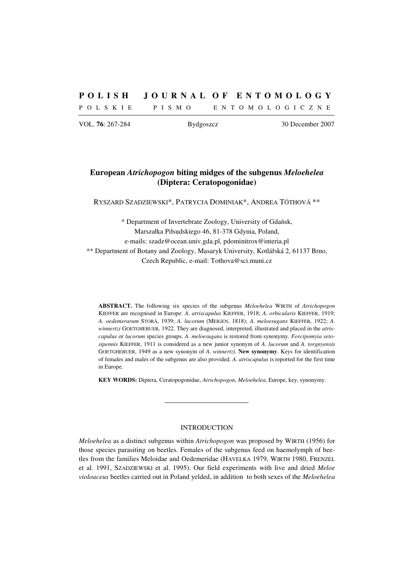# **P O L I S H J O U R N A L O F E N T O M O L O G Y**

P O L S K I E P I S M O E N T O M O L O G I C Z N E

VOL. **76**: 267-284 Bydgoszcz 30 December 2007

# **European** *Atrichopogon* **biting midges of the subgenus** *Meloehelea* **(Diptera: Ceratopogonidae)**

RYSZARD SZADZIEWSKI\*, PATRYCJA DOMINIAK\*, ANDREA TÓTHOVÁ \*\*

\* Department of Invertebrate Zoology, University of Gdańsk, Marszałka Piłsudskiego 46, 81-378 Gdynia, Poland, e-mails: szadz@ocean.univ.gda.pl, pdominitrox@interia.pl \*\* Department of Botany and Zoology, Masaryk University, Kotlářská 2, 61137 Brno, Czech Republic, e-mail: Tothova@sci.muni.cz

**ABSTRACT.** The following six species of the subgenus *Meloehelea* WIRTH of *Atrichopogon* KIEFFER are recognised in Europe: *A*. *atriscapulus* KIEFFER, 1918; *A*. *orbicularis* KIEFFER, 1919; *A*. *oedemerarum* STORÅ, 1939; *A*. *lucorum* (MEIGEN, 1818); *A*. *meloesugans* KIEFFER, 1922; *A*. *winnertzi* GOETGHEBUER, 1922. They are diagnosed, interpreted, illustrated and placed in the *atriscapulus* or *lucorum* species groups. *A*. *meloesugans* is restored from synonymy. *Forcipomyia setosipennis* KIEFFER, 1911 is considered as a new junior synonym of *A*. *lucorum* and *A*. *torgnyensis*  GOETGHEBUER, 1949 as a new synonym of *A*. *winnertzi*. **New synonymy**. Keys for identification of females and males of the subgenus are also provided. *A*. *atriscapulus* is reported for the first time in Europe.

**KEY WORDS:** Diptera, Ceratopogonidae, *Atrichopogon*, *Meloehelea*, Europe, key, synonymy.

## INTRODUCTION

*Meloehelea* as a distinct subgenus within *Atrichopogon* was proposed by WIRTH (1956) for those species parasiting on beetles. Females of the subgenus feed on haemolymph of beetles from the families Meloidae and Oedemeridae (HAVELKA 1979, WIRTH 1980, FRENZEL et al. 1991, SZADZIEWSKI et al. 1995). Our field experiments with live and dried *Meloe violoaceus* beetles carried out in Poland yelded, in addition to both sexes of the *Meloehelea*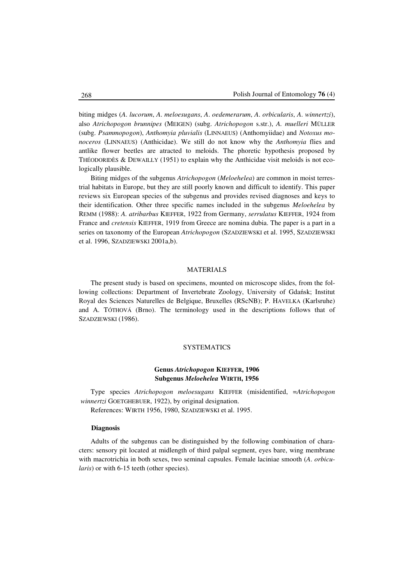biting midges (*A*. *lucorum*, *A*. *meloesugans*, *A*. *oedemerarum*, *A*. *orbicularis*, *A*. *winnertzi*), also *Atrichopogon brunnipes* (MEIGEN) (subg. *Atrichopogon* s.str.), *A. muelleri* MÜLLER (subg. *Psammopogon*), *Anthomyia pluvialis* (LINNAEUS) (Anthomyiidae) and *Notoxus monoceros* (LINNAEUS) (Anthicidae). We still do not know why the *Anthomyia* flies and antlike flower beetles are atracted to meloids. The phoretic hypothesis proposed by THÉODORIDÈS & DEWAILLY  $(1951)$  to explain why the Anthicidae visit meloids is not ecologically plausible.

Biting midges of the subgenus *Atrichopogon* (*Meloehelea*) are common in moist terrestrial habitats in Europe, but they are still poorly known and difficult to identify. This paper reviews six European species of the subgenus and provides revised diagnoses and keys to their identification. Other three specific names included in the subgenus *Meloehelea* by REMM (1988): *A. atribarbus* KIEFFER, 1922 from Germany, *serrulatus* KIEFFER, 1924 from France and *cretensis* KIEFFER, 1919 from Greece are nomina dubia. The paper is a part in a series on taxonomy of the European *Atrichopogon* (SZADZIEWSKI et al. 1995, SZADZIEWSKI et al. 1996, SZADZIEWSKI 2001a,b).

# MATERIALS

The present study is based on specimens, mounted on microscope slides, from the following collections: Department of Invertebrate Zoology, University of Gdańsk; Institut Royal des Sciences Naturelles de Belgique, Bruxelles (RScNB); P. HAVELKA (Karlsruhe) and A. TÓTHOVÁ (Brno). The terminology used in the descriptions follows that of SZADZIEWSKI (1986).

# **SYSTEMATICS**

# **Genus** *Atrichopogon* **KIEFFER, 1906 Subgenus** *Meloehelea* **WIRTH, 1956**

Type species *Atrichopogon meloesugans* KIEFFER (misidentified, =*Atrichopogon winnertzi* GOETGHEBUER, 1922), by original designation. References: WIRTH 1956, 1980, SZADZIEWSKI et al. 1995.

# **Diagnosis**

Adults of the subgenus can be distinguished by the following combination of characters: sensory pit located at midlength of third palpal segment, eyes bare, wing membrane with macrotrichia in both sexes, two seminal capsules. Female laciniae smooth (*A*. *orbicularis*) or with 6-15 teeth (other species).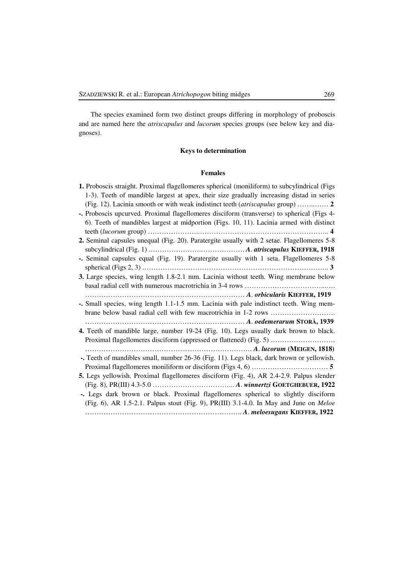The species examined form two distinct groups differing in morphology of proboscis and are named here the *atriscapulus* and *lucorum* species groups (see below key and diagnoses).

# **Keys to determination**

# **Females**

| 1. Proboscis straight. Proximal flagellomeres spherical (moniliform) to subcylindrical (Figs |
|----------------------------------------------------------------------------------------------|
| 1-3). Teeth of mandible largest at apex, their size gradually increasing distad in series    |
| (Fig. 12). Lacinia smooth or with weak indistinct teeth (atriscapulus group)  2              |
| -. Proboscis upcurved. Proximal flagellomeres disciform (transverse) to spherical (Figs 4-   |
| 6). Teeth of mandibles largest at midportion (Figs. 10, 11). Lacinia armed with distinct     |
|                                                                                              |
| 2. Seminal capsules unequal (Fig. 20). Paratergite usually with 2 setae. Flagellomeres 5-8   |
|                                                                                              |
| -. Seminal capsules equal (Fig. 19). Paratergite usually with 1 seta. Flagellomeres 5-8      |
|                                                                                              |
| 3. Large species, wing length 1.8-2.1 mm. Lacinia without teeth. Wing membrane below         |
|                                                                                              |
|                                                                                              |
| -. Small species, wing length 1.1-1.5 mm. Lacinia with pale indistinct teeth. Wing mem-      |
|                                                                                              |
| A. oedemerarum STORÅ, 1939                                                                   |
| 4. Teeth of mandible large, number 19-24 (Fig. 10). Legs usually dark brown to black.        |
| Proximal flagellomeres disciform (appressed or flattened) (Fig. 5)                           |
|                                                                                              |
|                                                                                              |
| -. Teeth of mandibles small, number 26-36 (Fig. 11). Legs black, dark brown or yellowish.    |
|                                                                                              |
|                                                                                              |
| 5. Legs yellowish. Proximal flagellomeres disciform (Fig. 4), AR 2.4-2.9. Palpus slender     |
|                                                                                              |
| -. Legs dark brown or black. Proximal flagellomeres spherical to slightly disciform          |
| (Fig. 6), AR 1.5-2.1. Palpus stout (Fig. 9), PR(III) 3.1-4.0. In May and June on Meloe       |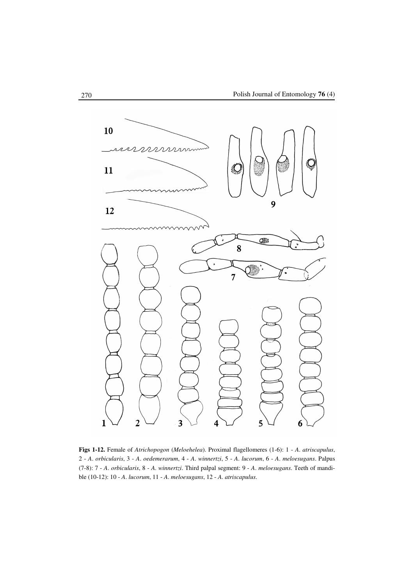

**Figs 1-12.** Female of *Atrichopogon* (*Meloehelea*). Proximal flagellomeres (1-6): 1 - *A*. *atriscapulus*, 2 - *A*. *orbicularis*, 3 - *A*. *oedemerarum*, 4 - *A*. *winnertzi*, 5 - *A*. *lucorum*, 6 - *A*. *meloesugans*. Palpus (7-8): 7 - *A*. *orbicularis*, 8 - *A*. *winnertzi*. Third palpal segment: 9 - *A*. *meloesugans*. Teeth of mandible (10-12): 10 - *A*. *lucorum*, 11 - *A*. *meloesugans*, 12 - *A*. *atriscapulus*.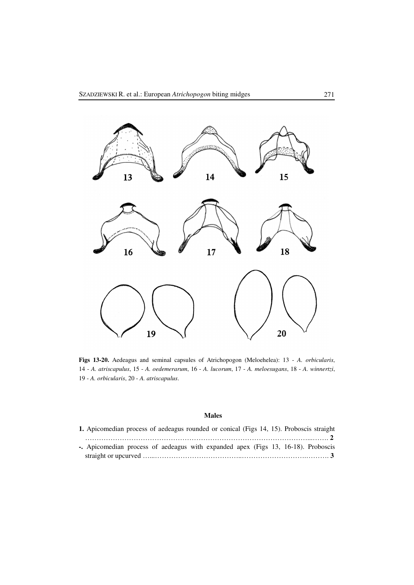

**Figs 13-20.** Aedeagus and seminal capsules of Atrichopogon (Meloehelea): 13 - *A. orbicularis*, 14 - *A. atriscapulus*, 15 - *A. oedemerarum*, 16 - *A. lucorum*, 17 - *A. meloesugans*, 18 - *A. winnertzi*, 19 - *A. orbicularis*, 20 - *A. atriscapulus*.

# **Males**

| 1. Apicomedian process of aedeagus rounded or conical (Figs 14, 15). Proboscis straight |  |  |  |  |  |
|-----------------------------------------------------------------------------------------|--|--|--|--|--|
|                                                                                         |  |  |  |  |  |
| - Apicomedian process of aedeagus with expanded apex (Figs 13, 16-18). Proboscis        |  |  |  |  |  |
|                                                                                         |  |  |  |  |  |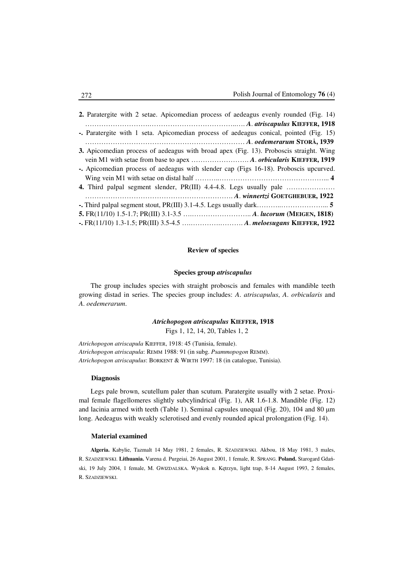| 2. Paratergite with 2 setae. Apicomedian process of aedeagus evenly rounded (Fig. 14)  |
|----------------------------------------------------------------------------------------|
|                                                                                        |
| -. Paratergite with 1 seta. Apicomedian process of aedeagus conical, pointed (Fig. 15) |
|                                                                                        |
| 3. Apicomedian process of aedeagus with broad apex (Fig. 13). Proboscis straight. Wing |
|                                                                                        |
| - Apicomedian process of aedeagus with slender cap (Figs 16-18). Proboscis upcurved.   |
|                                                                                        |
|                                                                                        |
|                                                                                        |
|                                                                                        |
|                                                                                        |
| -. FR(11/10) 1.3-1.5; PR(III) 3.5-4.5  A. meloesugans KIEFFER, 1922                    |

# **Review of species**

## **Species group** *atriscapulus*

The group includes species with straight proboscis and females with mandible teeth growing distad in series. The species group includes: *A*. *atriscapulus*, *A*. *orbicularis* and *A*. *oedemerarum*.

## *Atrichopogon atriscapulus* **KIEFFER, 1918**

Figs 1, 12, 14, 20, Tables 1, 2

*Atrichopogon atriscapula* KIEFFER, 1918: 45 (Tunisia, female). *Atrichopogon atriscapula*: REMM 1988: 91 (in subg. *Psammopogon* REMM). *Atrichopogon atriscapulus*: BORKENT & WIRTH 1997: 18 (in catalogue, Tunisia).

## **Diagnosis**

Legs pale brown, scutellum paler than scutum. Paratergite usually with 2 setae. Proximal female flagellomeres slightly subcylindrical (Fig. 1), AR 1.6-1.8. Mandible (Fig. 12) and lacinia armed with teeth (Table 1). Seminal capsules unequal (Fig. 20), 104 and 80  $\mu$ m long. Aedeagus with weakly sclerotised and evenly rounded apical prolongation (Fig. 14).

## **Material examined**

**Algeria.** Kabylie, Tazmalt 14 May 1981, 2 females, R. SZADZIEWSKI. Akbou, 18 May 1981, 3 males, R. SZADZIEWSKI. **Lithuania.** Varena d. Purgeiai, 26 August 2001, 1 female, R. SPRANG. **Poland.** Starogard Gdański, 19 July 2004, 1 female, M. GWIZDALSKA. Wyskok n. Kętrzyn, light trap, 8-14 August 1993, 2 females, R. SZADZIEWSKI.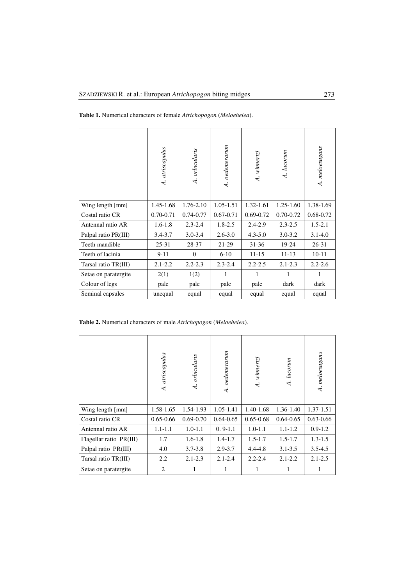| Table 1. Numerical characters of female Atrichopogon (Meloehelea). |  |  |  |  |
|--------------------------------------------------------------------|--|--|--|--|
|--------------------------------------------------------------------|--|--|--|--|

|                      | A. atriscapulus | A. orbicularis | oedemerarum<br>$\overline{A}$ . | A. winnertzi  | A. lucorum    | A. meloesugans |
|----------------------|-----------------|----------------|---------------------------------|---------------|---------------|----------------|
| Wing length [mm]     | 1.45-1.68       | 1.76-2.10      | $1.05 - 1.51$                   | 1.32-1.61     | $1.25 - 1.60$ | 1.38-1.69      |
| Costal ratio CR      | $0.70 - 0.71$   | $0.74 - 0.77$  | $0.67 - 0.71$                   | $0.69 - 0.72$ | $0.70 - 0.72$ | 0.68-0.72      |
| Antennal ratio AR    | $1.6 - 1.8$     | $2.3 - 2.4$    | $1.8 - 2.5$                     | $2.4 - 2.9$   | $2.3 - 2.5$   | $1.5 - 2.1$    |
| Palpal ratio PR(III) | $3.4 - 3.7$     | $3.0 - 3.4$    | $2.6 - 3.0$                     | $4.3 - 5.0$   | $3.0 - 3.2$   | $3.1 - 4.0$    |
| Teeth mandible       | $25 - 31$       | 28-37          | 21-29                           | $31 - 36$     | 19-24         | $26 - 31$      |
| Teeth of lacinia     | $9 - 11$        | $\Omega$       | $6 - 10$                        | $11 - 15$     | $11 - 13$     | $10 - 11$      |
| Tarsal ratio TR(III) | $2.1 - 2.2$     | $2.2 - 2.3$    | $2.3 - 2.4$                     | $2.2 - 2.5$   | $2.1 - 2.3$   | $2.2 - 2.6$    |
| Setae on paratergite | 2(1)            | 1(2)           | 1                               | 1             | 1             | 1              |
| Colour of legs       | pale            | pale           | pale                            | pale          | dark          | dark           |
| Seminal capsules     | unequal         | equal          | equal                           | equal         | equal         | equal          |

**Table 2.** Numerical characters of male *Atrichopogon* (*Meloehelea*).

|                         | atriscapulus<br>$\overline{\mathcal{A}}$ | A. orbicularis | oedemerarum<br>$\overline{A}$ | A. winnertzi  | A. lucorum    | A. meloesugans |
|-------------------------|------------------------------------------|----------------|-------------------------------|---------------|---------------|----------------|
| Wing length [mm]        | 1.58-1.65                                | 1.54-1.93      | 1.05-1.41                     | 1.40-1.68     | 1.36-1.40     | 1.37-1.51      |
| Costal ratio CR         | $0.65 - 0.66$                            | $0.69 - 0.70$  | $0.64 - 0.65$                 | $0.65 - 0.68$ | $0.64 - 0.65$ | $0.63 - 0.66$  |
| Antennal ratio AR       | $1.1 - 1.1$                              | $1.0 - 1.1$    | $0.9-1.1$                     | $1.0 - 1.1$   | $1.1 - 1.2$   | $0.9 - 1.2$    |
| Flagellar ratio PR(III) | 1.7                                      | $1.6 - 1.8$    | $1.4 - 1.7$                   | $1.5 - 1.7$   | $1.5 - 1.7$   | $1.3 - 1.5$    |
| Palpal ratio PR(III)    | 4.0                                      | $3.7 - 3.8$    | $2.9 - 3.7$                   | $4.4 - 4.8$   | $3.1 - 3.5$   | $3.5 - 4.5$    |
| Tarsal ratio TR(III)    | 2.2                                      | $2.1 - 2.3$    | $2.1 - 2.4$                   | $2.2 - 2.4$   | $2.1 - 2.2$   | $2.1 - 2.5$    |
| Setae on paratergite    | 2                                        | 1              |                               |               |               |                |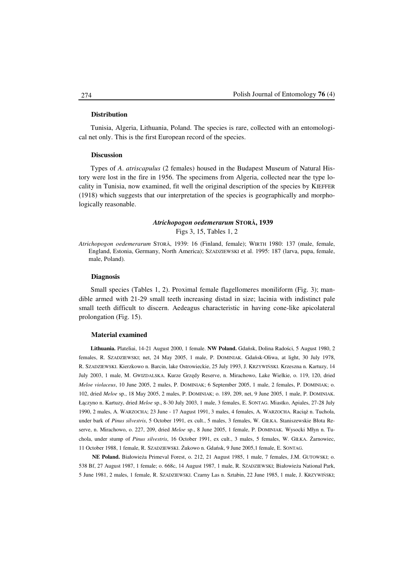## **Distribution**

Tunisia, Algeria, Lithuania, Poland. The species is rare, collected with an entomological net only. This is the first European record of the species.

#### **Discussion**

Types of *A*. *atriscapulus* (2 females) housed in the Budapest Museum of Natural History were lost in the fire in 1956. The specimens from Algeria, collected near the type locality in Tunisia, now examined, fit well the original description of the species by KIEFFER (1918) which suggests that our interpretation of the species is geographically and morphologically reasonable.

# *Atrichopogon oedemerarum* **STORÅ, 1939**  Figs 3, 15, Tables 1, 2

*Atrichopogon oedemerarum* STORÅ, 1939: 16 (Finland, female); WIRTH 1980: 137 (male, female, England, Estonia, Germany, North America); SZADZIEWSKI et al. 1995: 187 (larva, pupa, female, male, Poland).

### **Diagnosis**

Small species (Tables 1, 2). Proximal female flagellomeres moniliform (Fig. 3); mandible armed with 21-29 small teeth increasing distad in size; lacinia with indistinct pale small teeth difficult to discern. Aedeagus characteristic in having cone-like apicolateral prolongation (Fig. 15).

#### **Material examined**

**Lithuania.** Plateliai, 14-21 August 2000, 1 female. **NW Poland.** Gdańsk, Dolina Radości, 5 August 1980, 2 females, R. SZADZIEWSKI; net, 24 May 2005, 1 male, P. DOMINIAK. Gdańsk-Oliwa, at light, 30 July 1978, R. SZADZIEWSKI. Kierzkowo n. Barcin, lake Ostrowieckie, 25 July 1993, J. KRZYWIŃSKI. Krzeszna n. Kartuzy, 14 July 2003, 1 male, M. GWIZDALSKA. Kurze Grzędy Reserve, n. Mirachowo, Lake Wielkie, o. 119, 120, dried *Meloe violaceus*, 10 June 2005, 2 males, P. DOMINIAK; 6 September 2005, 1 male, 2 females, P. DOMINIAK; o. 102, dried *Meloe* sp., 18 May 2005, 2 males, P. DOMINIAK; o. 189, 209, net, 9 June 2005, 1 male, P. DOMINIAK. Łączyno n. Kartuzy, dried *Meloe* sp., 8-30 July 2003, 1 male, 3 females, E. SONTAG. Miastko, Apiales, 27-28 July 1990, 2 males, A. WARZOCHA; 23 June - 17 August 1991, 3 males, 4 females, A. WARZOCHA. Raciąż n. Tuchola, under bark of *Pinus silvestris*, 5 October 1991, ex cult., 5 males, 3 females, W. GIŁKA. Staniszewskie Błota Reserve, n. Mirachowo, o. 227, 209, dried *Meloe* sp., 8 June 2005, 1 female, P. DOMINIAK. Wysocki Młyn n. Tuchola, under stump of *Pinus silvestris*, 16 October 1991, ex cult., 3 males, 5 females, W. GIŁKA. Żarnowiec, 11 October 1988, 1 female, R. SZADZIEWSKI. Żukowo n. Gdańsk, 9 June 2005,1 female, E. SONTAG.

**NE Poland.** Białowieża Primeval Forest, o. 212, 21 August 1985, 1 male, 7 females, J.M. GUTOWSKI; o. 538 Bf, 27 August 1987, 1 female; o. 668c, 14 August 1987, 1 male, R. SZADZIEWSKI; Białowieża National Park, 5 June 1981, 2 males, 1 female, R. SZADZIEWSKI. Czarny Las n. Sztabin, 22 June 1985, 1 male, J. KRZYWIŃSKI;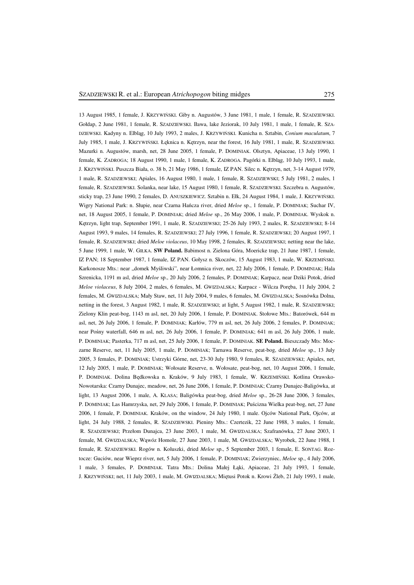13 August 1985, 1 female, J. KRZYWIŃSKI. Giby n. Augustów, 3 June 1981, 1 male, 1 female, R. SZADZIEWSKI. Gołdap, 2 June 1981, 1 female, R. SZADZIEWSKI. Iława, lake Jeziorak, 10 July 1981, 1 male, 1 female, R. SZA-DZIEWSKI. Kadyny n. Elbląg, 10 July 1993, 2 males, J. KRZYWIŃSKI. Kunicha n. Sztabin, *Conium maculatum*, 7 July 1985, 1 male, J. KRZYWIŃSKI. Łęknica n. Kętrzyn, near the forest, 16 July 1981, 1 male, R. SZADZIEWSKI. Mazurki n. Augustów, marsh, net, 28 June 2005, 1 female, P. DOMINIAK. Olsztyn, Apiaceae, 13 July 1990, 1 female, K. ZADROGA; 18 August 1990, 1 male, 1 female, K. ZADROGA. Pagórki n. Elbląg, 10 July 1993, 1 male, J. KRZYWIŃSKI. Puszcza Biała, o. 38 b, 21 May 1986, 1 female, IZ PAN. Silec n. Kętrzyn, net, 3-14 August 1979, 1 male, R. SZADZIEWSKI; Apiales, 16 August 1980, 1 male, 1 female, R. SZADZIEWSKI; 5 July 1981, 2 males, 1 female, R. SZADZIEWSKI. Solanka, near lake, 15 August 1980, 1 female, R. SZADZIEWSKI. Szczebra n. Augustów, sticky trap, 23 June 1990, 2 females, D. ANUSZKIEWICZ. Sztabin n. Ełk, 24 August 1984, 1 male, J. KRZYWIŃSKI. Wigry National Park: n. Słupie, near Czarna Hańcza river, dried *Meloe* sp., 1 female, P. DOMINIAK; Suchar IV, net, 18 August 2005, 1 female, P. DOMINIAK; dried *Meloe* sp., 26 May 2006, 1 male, P. DOMINIAK. Wyskok n. Kętrzyn, light trap, September 1991, 1 male, R. SZADZIEWSKI; 25-26 July 1993, 2 males, R. SZADZIEWSKI; 8-14 August 1993, 9 males, 14 females, R. SZADZIEWSKI; 27 July 1996, 1 female, R. SZADZIEWSKI; 20 August 1997, 1 female, R. SZADZIEWSKI; dried *Meloe violaceus*, 10 May 1998, 2 females, R. SZADZIEWSKI; netting near the lake, 5 June 1999, 1 male, W. GIŁKA. **SW Poland.** Babimost n. Zielona Góra, Moericke trap, 21 June 1987, 1 female, IZ PAN; 18 September 1987, 1 female, IZ PAN. Gołysz n. Skoczów, 15 August 1983, 1 male, W. KRZEMIŃSKI. Karkonosze Mts.: near "domek Myśliwski", near Łomnica river, net, 22 July 2006, 1 female, P. DOMINIAK; Hala Szrenicka, 1191 m asl, dried *Meloe* sp., 20 July 2006, 2 females, P. DOMINIAK; Karpacz, near Dziki Potok, dried *Meloe violaceus*, 8 July 2004, 2 males, 6 females, M. GWIZDALSKA; Karpacz - Wilcza Poręba, 11 July 2004, 2 females, M. GWIZDALSKA; Mały Staw, net, 11 July 2004, 9 males, 6 females, M. GWIZDALSKA; Sosnówka Dolna, netting in the forest, 3 August 1982, 1 male, R. SZADZIEWSKI; at light, 5 August 1982, 1 male, R. SZADZIEWSKI; Zielony Klin peat-bog, 1143 m asl, net, 20 July 2006, 1 female, P. DOMINIAK. Stołowe Mts.: Batorówek, 644 m asl, net, 26 July 2006, 1 female, P. DOMINIAK; Karłów, 779 m asl, net, 26 July 2006, 2 females, P. DOMINIAK; near Pośny waterfall, 646 m asl, net, 26 July 2006, 1 female, P. DOMINIAK; 641 m asl, 26 July 2006, 1 male, P. DOMINIAK; Pasterka, 717 m asl, net, 25 July 2006, 1 female, P. DOMINIAK. **SE Poland.** Bieszczady Mts: Moczarne Reserve, net, 11 July 2005, 1 male, P. DOMINIAK; Tarnawa Reserve, peat-bog, dried *Meloe* sp., 13 July 2005, 3 females, P. DOMINIAK; Ustrzyki Górne, net, 23-30 July 1980, 9 females, R. SZADZIEWSKI; Apiales, net, 12 July 2005, 1 male, P. DOMINIAK; Wołosate Reserve, n. Wołosate, peat-bog, net, 10 August 2006, 1 female, P. DOMINIAK. Dolina Będkowska n. Kraków, 9 July 1983, 1 female, W. KRZEMIŃSKI. Kotlina Orawsko-Nowotarska: Czarny Dunajec, meadow, net, 26 June 2006, 1 female, P. DOMINIAK; Czarny Dunajec-Baligówka, at light, 13 August 2006, 1 male, A. KLASA; Baligówka peat-bog, dried *Meloe* sp., 26-28 June 2006, 3 females, P. DOMINIAK; Las Hamrzyska, net, 29 July 2006, 1 female, P. DOMINIAK; Puścizna Wielka peat-bog, net, 27 June 2006, 1 female, P. DOMINIAK. Kraków, on the window, 24 July 1980, 1 male. Ojców National Park, Ojców, at light, 24 July 1988, 2 females, R. SZADZIEWSKI. Pieniny Mts.: Czertezik, 22 June 1988, 3 males, 1 female, R. SZADZIEWSKI; Przełom Dunajca, 23 June 2003, 1 male, M. GWIZDALSKA; Szafranówka, 27 June 2003, 1 female, M. GWIZDALSKA; Wąwóz Homole, 27 June 2003, 1 male, M. GWIZDALSKA; Wyrobek, 22 June 1988, 1 female, R. SZADZIEWSKI. Rogów n. Koluszki, dried *Meloe* sp., 5 September 2003, 1 female, E. SONTAG. Roztocze: Guciów, near Wieprz river, net, 5 July 2006, 1 female, P. DOMINIAK; Zwierzyniec, *Meloe* sp., 4 July 2006, 1 male, 3 females, P. DOMINIAK. Tatra Mts.: Dolina Małej Łąki, Apiaceae, 21 July 1993, 1 female, J. KRZYWIŃSKI; net, 11 July 2003, 1 male, M. GWIZDALSKA; Miętusi Potok n. Krowi Źleb, 21 July 1993, 1 male,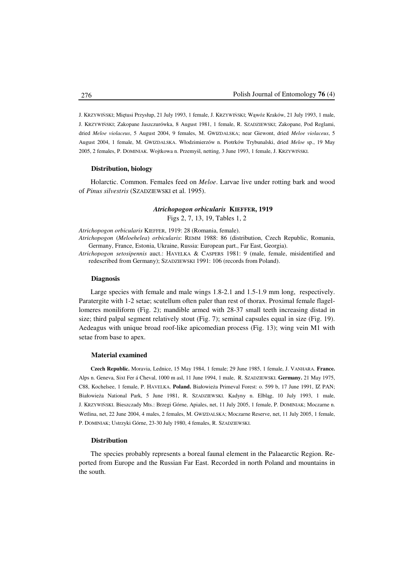J. KRZYWIŃSKI; Miętusi Przysłup, 21 July 1993, 1 female, J. KRZYWIŃSKI; Wąwóz Kraków, 21 July 1993, 1 male, J. KRZYWIŃSKI; Zakopane Jaszczurówka, 8 August 1981, 1 female, R. SZADZIEWSKI; Zakopane, Pod Reglami, dried *Meloe violaceus*, 5 August 2004, 9 females, M. GWIZDALSKA; near Giewont, dried *Meloe violaceus*, 5 August 2004, 1 female, M. GWIZDALSKA. Włodzimierzów n. Piotrków Trybunalski, dried *Meloe* sp., 19 May 2005, 2 females, P. DOMINIAK. Wojtkowa n. Przemyśl, netting, 3 June 1993, 1 female, J. KRZYWIŃSKI.

#### **Distribution, biology**

Holarctic. Common. Females feed on *Meloe*. Larvae live under rotting bark and wood of *Pinus silvestris* (SZADZIEWSKI et al. 1995).

# *Atrichopogon orbicularis* **KIEFFER, 1919**

Figs 2, 7, 13, 19, Tables 1, 2

*Atrichopogon orbicularis* KIEFFER, 1919: 28 (Romania, female).

*Atrichopogon* (*Meloehelea*) *orbicularis*: REMM 1988: 86 (distribution, Czech Republic, Romania, Germany, France, Estonia, Ukraine, Russia: European part., Far East, Georgia).

*Atrichopogon setosipennis* auct.: HAVELKA & CASPERS 1981: 9 (male, female, misidentified and redescribed from Germany); SZADZIEWSKI 1991: 106 (records from Poland).

#### **Diagnosis**

Large species with female and male wings 1.8-2.1 and 1.5-1.9 mm long, respectively. Paratergite with 1-2 setae; scutellum often paler than rest of thorax. Proximal female flagellomeres moniliform (Fig. 2); mandible armed with 28-37 small teeth increasing distad in size; third palpal segment relatively stout (Fig. 7); seminal capsules equal in size (Fig. 19). Aedeagus with unique broad roof-like apicomedian process (Fig. 13); wing vein M1 with setae from base to apex.

## **Material examined**

**Czech Republic.** Moravia, Lednice, 15 May 1984, 1 female; 29 June 1985, 1 female, J. VANHARA. **France.** Alps n. Geneva, Sixt Fer á Cheval, 1000 m asl, 11 June 1994, 1 male, R. SZADZIEWSKI. **Germany.** 21 May 1975, C88, Kochelsee, 1 female, P. HAVELKA. **Poland.** Białowieża Primeval Forest: o. 599 b, 17 June 1991, IZ PAN; Białowieża National Park, 5 June 1981, R. SZADZIEWSKI. Kadyny n. Elbląg, 10 July 1993, 1 male, J. KRZYWIŃSKI. Bieszczady Mts.: Brzegi Górne, Apiales, net, 11 July 2005, 1 female, P. DOMINIAK; Moczarne n. Wetlina, net, 22 June 2004, 4 males, 2 females, M. GWIZDALSKA; Moczarne Reserve, net, 11 July 2005, 1 female, P. DOMINIAK; Ustrzyki Górne, 23-30 July 1980, 4 females, R. SZADZIEWSKI.

## **Distribution**

The species probably represents a boreal faunal element in the Palaearctic Region. Reported from Europe and the Russian Far East. Recorded in north Poland and mountains in the south.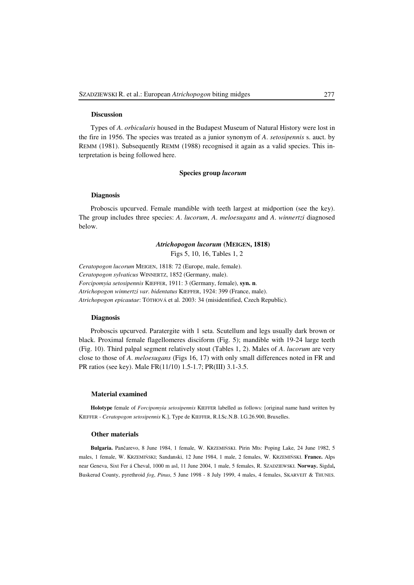#### **Discussion**

Types of *A*. *orbicularis* housed in the Budapest Museum of Natural History were lost in the fire in 1956. The species was treated as a junior synonym of *A*. *setosipennis* s. auct. by REMM (1981). Subsequently REMM (1988) recognised it again as a valid species. This interpretation is being followed here.

## **Species group** *lucorum*

## **Diagnosis**

Proboscis upcurved. Female mandible with teeth largest at midportion (see the key). The group includes three species: *A*. *lucorum*, *A*. *meloesugans* and *A*. *winnertzi* diagnosed below.

# *Atrichopogon lucorum* **(MEIGEN, 1818)**

Figs 5, 10, 16, Tables 1, 2

*Ceratopogon lucorum* MEIGEN, 1818: 72 (Europe, male, female). *Ceratopogon sylvaticus* WINNERTZ, 1852 (Germany, male). *Forcipomyia setosipennis* KIEFFER, 1911: 3 (Germany, female), **syn. n**. *Atrichopogon winnertzi var*. *bidentatus* KIEFFER, 1924: 399 (France, male). *Atrichopogon epicautae*: TÓTHOVÁ et al. 2003: 34 (misidentified, Czech Republic).

### **Diagnosis**

Proboscis upcurved. Paratergite with 1 seta. Scutellum and legs usually dark brown or black. Proximal female flagellomeres disciform (Fig. 5); mandible with 19-24 large teeth (Fig. 10). Third palpal segment relatively stout (Tables 1, 2). Males of *A*. *lucorum* are very close to those of *A*. *meloesugans* (Figs 16, 17) with only small differences noted in FR and PR ratios (see key). Male FR(11/10) 1.5-1.7; PR(III) 3.1-3.5.

# **Material examined**

**Holotype** female of *Forcipomyia setosipennis* KIEFFER labelled as follows: [original name hand written by KIEFFER - *Ceratopogon setosipennis* K.], Type de KIEFFER, R.I.Sc.N.B. I.G.26.900, Bruxelles.

#### **Other materials**

**Bulgaria.** Pančarevo, 8 June 1984, 1 female, W. KRZEMIŃSKI. Pirin Mts: Poping Lake, 24 June 1982, 5 males, 1 female, W. KRZEMIŃSKI; Sandanski, 12 June 1984, 1 male, 2 females, W. KRZEMIŃSKI. **France.** Alps near Geneva, Sixt Fer á Cheval, 1000 m asl, 11 June 2004, 1 male, 5 females, R. SZADZIEWSKI. **Norway.** Sigdal**,**  Buskerud County, pyrethroid *fog*, *Pinus*, 5 June 1998 - 8 July 1999, 4 males, 4 females, SKARVEIT & THUNES.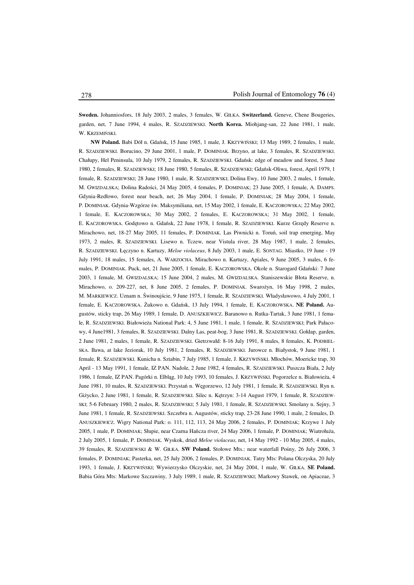**Sweden.** Johanniosfors, 18 July 2003, 2 males, 3 females, W. GIŁKA. **Switzerland.** Geneve, Chene Bougeries, garden, net, 7 June 1994, 4 males, R. SZADZIEWSKI. **North Korea.** Miohjang-san, 22 June 1981, 1 male, W. KRZEMIŃSKI.

**NW Poland.** Babi Dół n. Gdańsk, 15 June 1985, 1 male, J. KRZYWIŃSKI; 13 May 1989, 2 females, 1 male, R. SZADZIEWSKI. Borucino, 29 June 2001, 1 male, P. DOMINIAK. Brzyno, at lake, 3 females, R. SZADZIEWSKI. Chałupy, Hel Peninsula, 10 July 1979, 2 females, R. SZADZIEWSKI. Gdańsk: edge of meadow and forest, 5 June 1980, 2 females, R. SZADZIEWSKI; 18 June 1980, 5 females, R. SZADZIEWSKI; Gdańsk-Oliwa, forest, April 1979, 1 female, R. SZADZIEWSKI; 28 June 1980, 1 male, R. SZADZIEWSKI; Dolina Ewy, 10 June 2003, 2 males, 1 female, M. GWIZDALSKA; Dolina Radości, 24 May 2005, 4 females, P. DOMINIAK; 23 June 2005, 1 female, A. DAMPS. Gdynia-Redłowo, forest near beach, net, 26 May 2004, 1 female, P. DOMINIAK; 28 May 2004, 1 female, P. DOMINIAK. Gdynia-Wzgórze św. Maksymiliana, net, 15 May 2002, 1 female, E. KACZOROWSKA; 22 May 2002, 1 female, E. KACZOROWSKA; 30 May 2002, 2 females, E. KACZOROWSKA; 31 May 2002, 1 female, E. KACZOROWSKA. Godętowo n. Gdańsk, 22 June 1978, 1 female, R. SZADZIEWSKI. Kurze Grzędy Reserve n. Mirachowo, net, 18-27 May 2005, 11 females, P. DOMINIAK. Las Piwnicki n. Toruń, soil trap emerging, May 1973, 2 males, R. SZADZIEWSKI. Lisewo n. Tczew, near Vistula river, 28 May 1987, 1 male, 2 females, R. SZADZIEWSKI. Łęczyno n. Kartuzy, *Meloe violaceus*, 8 July 2003, 1 male, E. SONTAG. Miastko, 19 June - 19 July 1991, 18 males, 15 females, A. WARZOCHA. Mirachowo n. Kartuzy, Apiales, 9 June 2005, 3 males, 6 females, P. DOMINIAK. Puck, net, 21 June 2005, 1 female, E. KACZOROWSKA. Okole n. Starogard Gdański: 7 June 2003, 1 female, M. GWIZDALSKA; 15 June 2004, 2 males, M. GWIZDALSKA. Staniszewskie Błota Reserve, n. Mirachowo, o. 209-227, net, 8 June 2005, 2 females, P. DOMINIAK. Swarożyn, 16 May 1998, 2 males, M. MARKIEWICZ. Uznam n. Świnoujście, 9 June 1975, 1 female, R. SZADZIEWSKI. Władysławowo, 4 July 2001, 1 female, E. KACZOROWSKA. Żukowo n. Gdańsk, 13 July 1994, 1 female, E. KACZOROWSKA. **NE Poland.** Augustów, sticky trap, 26 May 1989, 1 female, D. ANUSZKIEWICZ. Baranowo n. Rutka-Tartak, 3 June 1981, 1 female, R. SZADZIEWSKI. Białowieża National Park: 4, 5 June 1981, 1 male, 1 female, R. SZADZIEWSKI; Park Pałacowy, 4 June1981, 3 females, R. SZADZIEWSKI. Dalny Las, peat-bog, 3 June 1981, R. SZADZIEWSKI. Gołdap, garden, 2 June 1981, 2 males, 1 female, R. SZADZIEWSKI. Gietrzwałd: 8-16 July 1991, 8 males, 8 females, K. PODBIEL-SKA. Iława, at lake Jeziorak, 10 July 1981, 2 females, R. SZADZIEWSKI. Jurowce n. Białystok, 9 June 1981, 1 female, R. SZADZIEWSKI. Kunicha n. Sztabin, 7 July 1985, 1 female, J. KRZYWIŃSKI. Młochów, Moericke trap, 30 April - 13 May 1991, 1 female, IZ PAN. Nadole, 2 June 1982, 4 females, R. SZADZIEWSKI. Puszcza Biała, 2 July 1986, 1 female, IZ PAN. Pagórki n. Elbląg, 10 July 1993, 10 females, J. KRZYWIŃSKI. Pogorzelce n. Białowieża, 4 June 1981, 10 males, R. SZADZIEWSKI. Przystań n. Węgorzewo, 12 July 1981, 1 female, R. SZADZIEWSKI. Ryn n. Giżycko, 2 June 1981, 1 female, R. SZADZIEWSKI. Silec n. Kętrzyn: 3-14 August 1979, 1 female, R. SZADZIEW-SKI; 5-6 February 1980, 2 males, R. SZADZIEWSKI; 5 July 1981, 1 female, R. SZADZIEWSKI. Smolany n. Sejny, 3 June 1981, 1 female, R. SZADZIEWSKI. Szczebra n. Augustów, sticky trap, 23-28 June 1990, 1 male, 2 females, D. ANUSZKIEWICZ. Wigry National Park: o. 111, 112, 113, 24 May 2006, 2 females, P. DOMINIAK; Krzywe 1 July 2005, 1 male, P. DOMINIAK; Słupie, near Czarna Hańcza river, 24 May 2006, 1 female, P. DOMINIAK; Wiatrołuża, 2 July 2005, 1 female, P. DOMINIAK. Wyskok, dried *Meloe violaceus*, net, 14 May 1992 - 10 May 2005, 4 males, 39 females, R. SZADZIEWSKI & W. GIŁKA. **SW Poland.** Stołowe Mts.: near waterfall Pośny, 26 July 2006, 3 females, P. DOMINIAK; Pasterka, net, 25 July 2006, 2 females, P. DOMINIAK. Tatry Mts: Polana Olczyska, 20 July 1993, 1 female, J. KRZYWIŃSKI; Wywierzysko Olczyskie, net, 24 May 2004, 1 male, W. GIŁKA. **SE Poland.** Babia Góra Mts: Markowe Szczawiny, 3 July 1989, 1 male, R. SZADZIEWSKI; Markowy Stawek, on Apiaceae, 3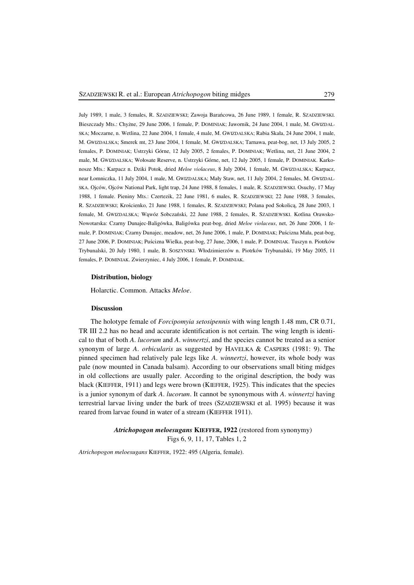July 1989, 1 male, 3 females, R. SZADZIEWSKI; Zawoja Barańcowa, 26 June 1989, 1 female, R. SZADZIEWSKI. Bieszczady Mts.: Chyżne, 29 June 2006, 1 female, P. DOMINIAK; Jawornik, 24 June 2004, 1 male, M. GWIZDAL-SKA; Moczarne, n. Wetlina, 22 June 2004, 1 female, 4 male, M. GWIZDALSKA; Rabia Skała, 24 June 2004, 1 male, M. GWIZDALSKA; Smerek mt, 23 June 2004, 1 female, M. GWIZDALSKA; Tarnawa, peat-bog, net, 13 July 2005, 2 females, P. DOMINIAK; Ustrzyki Górne, 12 July 2005, 2 females, P. DOMINIAK; Wetlina, net, 21 June 2004, 2 male, M. GWIZDALSKA; Wołosate Reserve, n. Ustrzyki Górne, net, 12 July 2005, 1 female, P. DOMINIAK. Karkonosze Mts.: Karpacz n. Dziki Potok, dried *Meloe violaceus*, 8 July 2004, 1 female, M. GWIZDALSKA; Karpacz, near Łomniczka, 11 July 2004, 1 male, M. GWIZDALSKA; Mały Staw, net, 11 July 2004, 2 females, M. GWIZDAL-SKA. Ojców, Ojców National Park, light trap, 24 June 1988, 8 females, 1 male, R. SZADZIEWSKI. Osuchy, 17 May 1988, 1 female. Pieniny Mts.: Czertezik, 22 June 1981, 6 males, R. SZADZIEWSKI; 22 June 1988, 3 females, R. SZADZIEWSKI; Krościenko, 21 June 1988, 1 females, R. SZADZIEWSKI; Polana pod Sokolicą, 28 June 2003, 1 female, M. GWIZDALSKA; Wąwóz Sobczański, 22 June 1988, 2 females, R. SZADZIEWSKI. Kotlina Orawsko-Nowotarska: Czarny Dunajec-Baligówka, Baligówka peat-bog, dried *Meloe violaceus*, net, 26 June 2006, 1 female, P. DOMINIAK; Czarny Dunajec, meadow, net, 26 June 2006, 1 male, P. DOMINIAK; Puścizna Mała, peat-bog, 27 June 2006, P. DOMINIAK; Puścizna Wielka, peat-bog, 27 June, 2006, 1 male, P. DOMINIAK. Tuszyn n. Piotrków Trybunalski, 20 July 1980, 1 male, B. SOSZYNSKI. Włodzimierzów n. Piotrków Trybunalski, 19 May 2005, 11 females, P. DOMINIAK. Zwierzyniec, 4 July 2006, 1 female, P. DOMINIAK.

## **Distribution, biology**

Holarctic. Common. Attacks *Meloe*.

# **Discussion**

The holotype female of *Forcipomyia setosipennis* with wing length 1.48 mm, CR 0.71, TR III 2.2 has no head and accurate identification is not certain. The wing length is identical to that of both *A*. *lucorum* and *A*. *winnertzi*, and the species cannot be treated as a senior synonym of large *A*. *orbicularis* as suggested by HAVELKA & CASPERS (1981: 9). The pinned specimen had relatively pale legs like *A*. *winnertzi*, however, its whole body was pale (now mounted in Canada balsam). According to our observations small biting midges in old collections are usually paler. According to the original description, the body was black (KIEFFER, 1911) and legs were brown (KIEFFER, 1925). This indicates that the species is a junior synonym of dark *A*. *lucorum*. It cannot be synonymous with *A*. *winnertzi* having terrestrial larvae living under the bark of trees (SZADZIEWSKI et al. 1995) because it was reared from larvae found in water of a stream (KIEFFER 1911).

> *Atrichopogon meloesugans* **KIEFFER, 1922** (restored from synonymy) Figs 6, 9, 11, 17, Tables 1, 2

*Atrichopogon meloesugans* KIEFFER, 1922: 495 (Algeria, female).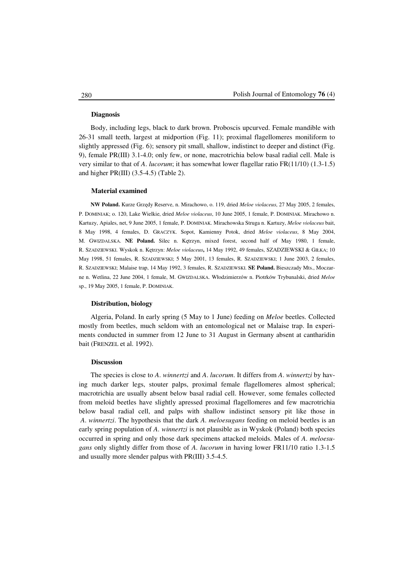## **Diagnosis**

Body, including legs, black to dark brown. Proboscis upcurved. Female mandible with 26-31 small teeth, largest at midportion (Fig. 11); proximal flagellomeres moniliform to slightly appressed (Fig. 6); sensory pit small, shallow, indistinct to deeper and distinct (Fig. 9), female PR(III) 3.1-4.0; only few, or none, macrotrichia below basal radial cell. Male is very similar to that of *A*. *lucorum*; it has somewhat lower flagellar ratio FR(11/10) (1.3-1.5) and higher PR(III) (3.5-4.5) (Table 2).

### **Material examined**

**NW Poland.** Kurze Grzędy Reserve, n. Mirachowo, o. 119, dried *Meloe violaceus*, 27 May 2005, 2 females, P. DOMINIAK; o. 120, Lake Wielkie, dried *Meloe violaceus*, 10 June 2005, 1 female, P. DOMINIAK. Mirachowo n. Kartuzy, Apiales, net, 9 June 2005, 1 female, P. DOMINIAK. Mirachowska Struga n. Kartuzy, *Meloe violaceus* bait, 8 May 1998, 4 females, D. GRACZYK. Sopot, Kamienny Potok, dried *Meloe violaceus*, 8 May 2004, M. GWIZDALSKA. **NE Poland.** Silec n. Kętrzyn, mixed forest, second half of May 1980, 1 female, R. SZADZIEWSKI. Wyskok n. Kętrzyn: *Meloe violaceus***,** 14 May 1992, 49 females, SZADZIEWSKI & GIŁKA; 10 May 1998, 51 females, R. SZADZIEWSKI; 5 May 2001, 13 females, R. SZADZIEWSKI; 1 June 2003, 2 females, R. SZADZIEWSKI; Malaise trap, 14 May 1992, 3 females, R. SZADZIEWSKI. **SE Poland.** Bieszczady Mts., Moczarne n. Wetlina, 22 June 2004, 1 female, M. GWIZDALSKA. Włodzimierzów n. Piotrków Trybunalski, dried *Meloe* sp., 19 May 2005, 1 female, P. DOMINIAK.

## **Distribution, biology**

Algeria, Poland. In early spring (5 May to 1 June) feeding on *Meloe* beetles. Collected mostly from beetles, much seldom with an entomological net or Malaise trap. In experiments conducted in summer from 12 June to 31 August in Germany absent at cantharidin bait (FRENZEL et al. 1992).

### **Discussion**

The species is close to *A*. *winnertzi* and *A*. *lucorum*. It differs from *A*. *winnertzi* by having much darker legs, stouter palps, proximal female flagellomeres almost spherical; macrotrichia are usually absent below basal radial cell. However, some females collected from meloid beetles have slightly apressed proximal flagellomeres and few macrotrichia below basal radial cell, and palps with shallow indistinct sensory pit like those in *A*. *winnertzi*. The hypothesis that the dark *A*. *meloesugans* feeding on meloid beetles is an early spring population of *A*. *winnertzi* is not plausible as in Wyskok (Poland) both species occurred in spring and only those dark specimens attacked meloids. Males of *A*. *meloesugans* only slightly differ from those of *A*. *lucorum* in having lower FR11/10 ratio 1.3-1.5 and usually more slender palpus with PR(III) 3.5-4.5.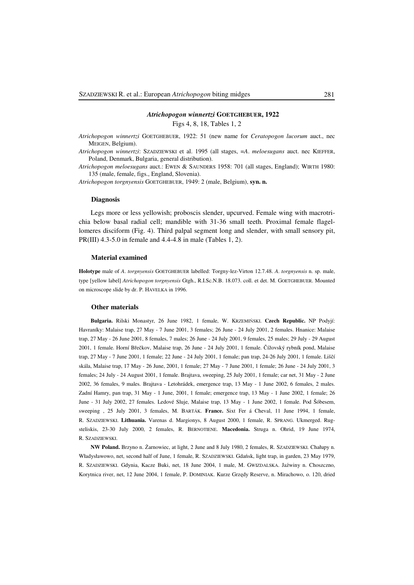## *Atrichopogon winnertzi* **GOETGHEBUER, 1922**

Figs 4, 8, 18, Tables 1, 2

- *Atrichopogon winnertzi* GOETGHEBUER, 1922: 51 (new name for *Ceratopogon lucorum* auct., nec MEIGEN, Belgium).
- *Atrichopogon winnertzi*: SZADZIEWSKI et al. 1995 (all stages, =*A*. *meloesugans* auct. nec KIEFFER, Poland, Denmark, Bulgaria, general distribution).

*Atrichopogon meloesugans* auct.: EWEN & SAUNDERS 1958: 701 (all stages, England); WIRTH 1980: 135 (male, female, figs., England, Slovenia).

*Atrichopogon torgnyensis* GOETGHEBUER, 1949: 2 (male, Belgium), **syn. n.** 

### **Diagnosis**

Legs more or less yellowish; proboscis slender, upcurved. Female wing with macrotrichia below basal radial cell; mandible with 31-36 small teeth. Proximal female flagellomeres disciform (Fig. 4). Third palpal segment long and slender, with small sensory pit, PR(III) 4.3-5.0 in female and 4.4-4.8 in male (Tables 1, 2).

#### **Material examined**

**Holotype** male of *A*. *torgnyensis* GOETGHEBUER labelled: Torgny-lez-Virton 12.7.48. *A*. *torgnyensis* n. sp. male, type [yellow label] *Atrichopogon torgnyensis* Gtgh., R.I.Sc.N.B. 18.073. coll. et det. M. GOETGHEBUER. Mounted on microscope slide by dr. P. HAVELKA in 1996.

#### **Other materials**

**Bulgaria.** Rilski Monastyr, 26 June 1982, 1 female, W. KRZEMIŃSKI. **Czech Republic.** NP Podyjí: Havraníky: Malaise trap, 27 May - 7 June 2001, 3 females; 26 June - 24 July 2001, 2 females. Hnanice: Malaise trap, 27 May - 26 June 2001, 8 females, 7 males; 26 June - 24 July 2001, 9 females, 25 males; 29 July - 29 August 2001, 1 female. Horní Břečkov, Malaise trap, 26 June - 24 July 2001, 1 female. Čížovský rybník pond, Malaise trap, 27 May - 7 June 2001, 1 female; 22 June - 24 July 2001, 1 female; pan trap, 24-26 July 2001, 1 female. Liščí skála, Malaise trap, 17 May - 26 June, 2001, 1 female; 27 May - 7 June 2001, 1 female; 26 June - 24 July 2001, 3 females; 24 July - 24 August 2001, 1 female. Brajtava, sweeping, 25 July 2001, 1 female; car net, 31 May - 2 June 2002, 36 females, 9 males. Brajtava - Letohrádek, emergence trap, 13 May - 1 June 2002, 6 females, 2 males. Zadní Hamry, pan trap, 31 May - 1 June, 2001, 1 female; emergence trap, 13 May - 1 June 2002, 1 female; 26 June - 31 July 2002, 27 females. Ledové Sluje, Malaise trap, 13 May - 1 June 2002, 1 female. Pod Šóbesem, sweeping , 25 July 2001, 3 females, M. BARTÁK. **France.** Sixt Fer á Cheval, 11 June 1994, 1 female, R. SZADZIEWSKI. **Lithuania.** Varenas d. Margionys, 8 August 2000, 1 female, R. SPRANG. Ukmerged. Rugsteliskis, 23-30 July 2000, 2 females, R. BERNOTIENE. **Macedonia.** Struga n. Ohrid, 19 June 1974, R. SZADZIEWSKI.

**NW Poland.** Brzyno n. Żarnowiec, at light, 2 June and 8 July 1980, 2 females, R. SZADZIEWSKI. Chałupy n. Władysławowo, net, second half of June, 1 female, R. SZADZIEWSKI. Gdańsk, light trap, in garden, 23 May 1979, R. SZADZIEWSKI. Gdynia, Kacze Buki, net, 18 June 2004, 1 male, M. GWIZDALSKA. Jaźwiny n. Choszczno, Korytnica river, net, 12 June 2004, 1 female, P. DOMINIAK. Kurze Grzędy Reserve, n. Mirachowo, o. 120, dried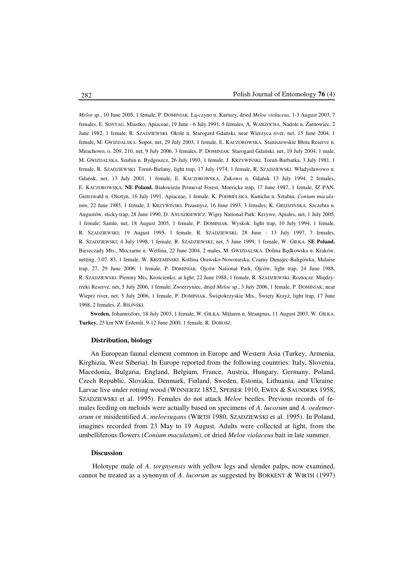*Meloe* sp., 10 June 2005, 1 female, P. DOMINIAK. Łą-czyno n. Kartuzy, dried *Meloe violaceus*, 1-3 August 2003, 7 females, E. SONTAG. Miastko, Apiaceae, 19 June - 6 July 1991, 5 females, A. WARZOCHA. Nadole n. Żarnowiec, 2 June 1982, 1 female, R. SZADZIEWSKI. Okole n. Starogard Gdański, near Wierzyca river, net, 15 June 2004, 1 female, M. GWIZDALSKA. Sopot, net, 29 July 2003, 1 female, E. KACZOROWSKA. Staniszewskie Błota Reserve n. Mirachowo, o. 209, 210, net, 9 July 2006, 3 females, P. DOMINIAK. Starogard Gdański, net, 19 July 2004, 1 male, M. GWIZDALSKA. Szubin n. Bydgoszcz, 26 July 1993, 1 female, J. KRZYWIŃSKI. Toruń-Barbarka, 3 July 1981, 1 female, R. SZADZIEWSKI. Toruń-Bielany, light trap, 17 July 1974, 1 female, R. SZADZIEWSKI. Władysławowo n. Gdańsk, net, 13 July 2001, 1 female, E. KACZOROWSKA. Żukowo n. Gdańsk 13 July 1994, 2 females, E. KACZOROWSKA. **NE Poland.** Białowieża Primeval Forest, Moericke trap, 17 June 1987, 1 female, IZ PAN. Gietrzwałd n. Olsztyn, 16 July 1991, Apiaceae, 1 female, K. PODBIELSKA. Kunicha n. Sztabin, *Conium maculatum*, 22 June 1985, 1 female, J. KRZYWIŃSKI. Przasnysz, 16 June 1993, 3 females, K. GRĘDZIŃSKA. Szczebra n. Augustów, sticky trap, 28 June 1990, D. ANUSZKIEWICZ. Wigry National Park: Krzywe, Apiales, net, 1 July 2005, 1 female; Samle, net, 18 August 2005, 1 female, P. DOMINIAK. Wyskok: light trap, 10 July 1994, 1 female, R. SZADZIEWSKI; 19 August 1995, 1 female, R. SZADZIEWSKI; 28 June - 13 July 1997, 7 females, R. SZADZIEWSKI; 4 July 1998, 1 female, R. SZADZIEWSKI; net, 5 June 1999, 1 female, W. GIŁKA. **SE Poland.** Bieszczady Mts., Moczarne n. Wetlina, 22 June 2004, 2 males, M. GWIZDALSKA. Dolina Będkowska n. Kraków, netting, 3.07. 83, 1 female, W. KRZEMIŃSKI. Kotlina Orawsko-Nowotarska, Czarny Dunajec-Baligówka, Malaise trap, 27, 29 June 2006, 1 female, P. DOMINIAK. Ojców National Park, Ojców, light trap, 24 June 1988, R. SZADZIEWSKI. Pieniny Mts, Krościenko, at light, 22 June 1988, 1 female, R. SZADZIEWSKI. Roztocze: Międzyrzeki Reserve, net, 5 July 2006, 1 female; Zwierzyniec, dried *Meloe* sp., 3 July 2006, 1 female, P. DOMINIAK; near Wieprz river, net, 5 July 2006, 1 female, P. DOMINIAK. Świętokrzyskie Mts., Święty Krzyż, light trap, 17 June 1968, 2 females, Z. BILIŃSKI.

**Sweden.** Johannisfors, 18 July 2003, 1 female, W. GIŁKA. Mälaren n. Strangnas, 11 August 2003, W. GIŁKA. **Turkey.** 25 km NW Erdemli, 9-12 June 2000, 1 female, R. DOBOSZ.

#### **Distribution, biology**

An European faunal element common in Europe and Western Asia (Turkey, Armenia, Kirghizia, West Siberia). In Europe reported from the following countries: Italy, Slovenia, Macedonia, Bulgaria, England, Belgium, France, Austria, Hungary, Germany, Poland, Czech Republic, Slovakia, Denmark, Finland, Sweden, Estonia, Lithuania, and Ukraine. Larvae live under rotting wood (WINNERTZ 1852, SPEISER 1910, EWEN & SAUNDERS 1958, SZADZIEWSKI et al. 1995). Females do not attack *Meloe* beetles. Previous records of females feeding on meloids were actually based on specimens of *A*. *lucorum* and *A*. *oedemerarum* or misidentified *A*. *meloesugans* (WIRTH 1980, SZADZIEWSKI et al. 1995). In Poland, imagines recorded from 23 May to 19 August. Adults were collected at light, from the umbelliferous flowers (*Conium maculatum*), or dried *Meloe violaceus* bait in late summer.

# **Discussion**

Holotype male of *A*. *torgnyensis* with yellow legs and slender palps, now examined, cannot be treated as a synonym of *A*. *lucorum* as suggested by BORKENT & WIRTH (1997)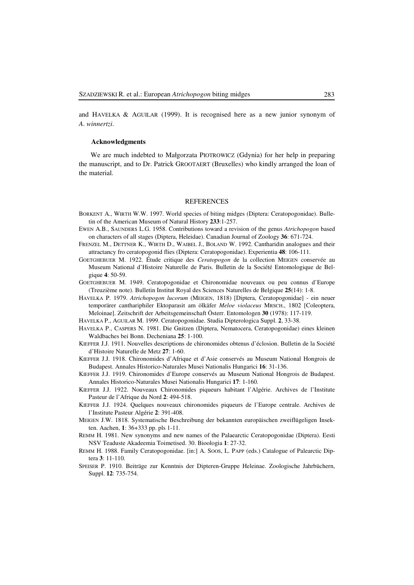and HAVELKA & AGUILAR (1999). It is recognised here as a new junior synonym of *A*. *winnertzi*.

### **Acknowledgments**

We are much indebted to Małgorzata PIOTROWICZ (Gdynia) for her help in preparing the manuscript, and to Dr. Patrick GROOTAERT (Bruxelles) who kindly arranged the loan of the material.

#### **REFERENCES**

- BORKENT A., WIRTH W.W. 1997. World species of biting midges (Diptera: Ceratopogonidae). Bulletin of the American Museum of Natural History **233**:1-257.
- EWEN A.B., SAUNDERS L.G. 1958. Contributions toward a revision of the genus *Atrichopogon* based on characters of all stages (Diptera, Heleidae). Canadian Journal of Zoology **36**: 671-724.
- FRENZEL M., DETTNER K., WIRTH D., WAIBEL J., BOLAND W. 1992. Cantharidin analogues and their attractancy fro ceratopogonid flies (Diptera: Ceratopogonidae). Experientia **48**: 106-111.
- GOETGHEBUER M. 1922. Étude critique des *Ceratopogon* de la collection MEIGEN conservée au Museum National d'Histoire Naturelle de Paris. Bulletin de la Société Entomologique de Belgique **4**: 50-59.
- GOETGHEBUER M. 1949. Ceratopogonidae et Chironomidae nouveaux ou peu connus d'Europe (Treuzième note). Bulletin Institut Royal des Sciences Naturelles de Belgique **25**(14): 1-8.
- HAVELKA P. 1979. *Atrichopogon lucorum* (MEIGEN, 1818) [Diptera, Ceratopogonidae] ein neuer temporärer canthariphiler Ektoparasit am ölkäfer *Meloe violaceus* MRSCH., 1802 [Coleoptera, Meloinae]. Zeitschrift der Arbeitsgemeinschaft Österr. Entomologen **30** (1978): 117-119.
- HAVELKA P., AGUILAR M. 1999. Ceratopogonidae. Studia Dipterologica Suppl. **2**, 33-38.
- HAVELKA P., CASPERS N. 1981. Die Gnitzen (Diptera, Nematocera, Ceratopogonidae) eines kleinen Waldbaches bei Bonn. Decheniana **25**: 1-100.
- KIEFFER J.J. 1911. Nouvelles descriptions de chironomides obtenus d'éclosion. Bulletin de la Société d'Histoire Naturelle de Metz **27**: 1-60.
- KIEFFER J.J. 1918. Chironomides d'Afrique et d'Asie conservés au Museum National Hongrois de Budapest. Annales Historico-Naturales Musei Nationalis Hungarici **16**: 31-136.
- KIEFFER J.J. 1919. Chironomides d'Europe conservés au Museum National Hongrois de Budapest. Annales Historico-Naturales Musei Nationalis Hungarici **17**: 1-160.
- KIEFFER J.J. 1922. Nouveaux Chironomides piqueurs habitant l'Algérie. Archives de l'Institute Pasteur de l'Afrique du Nord **2**: 494-518.
- KIEFFER J.J. 1924. Quelques nouveaux chironomides piqueurs de l'Europe centrale. Archives de l'Institute Pasteur Algérie **2**: 391-408.
- MEIGEN J.W. 1818. Systematische Beschreibung der bekannten europäischen zweiflügeligen Insekten. Aachen, **1**: 36+333 pp. pls 1-11.
- REMM H. 1981. New synonyms and new names of the Palaearctic Ceratopogonidae (Diptera). Eesti NSV Teaduste Akadeemia Toimetised. 30. Bioologia **1**: 27-32.
- REMM H. 1988. Family Ceratopogonidae. [in:] A. SOOS, L. PAPP (eds.) Catalogue of Palearctic Diptera **3**: 11-110.
- SPEISER P. 1910. Beiträge zur Kenntnis der Dipteren-Gruppe Heleinae. Zoologische Jahrbüchern, Suppl. **12**: 735-754.